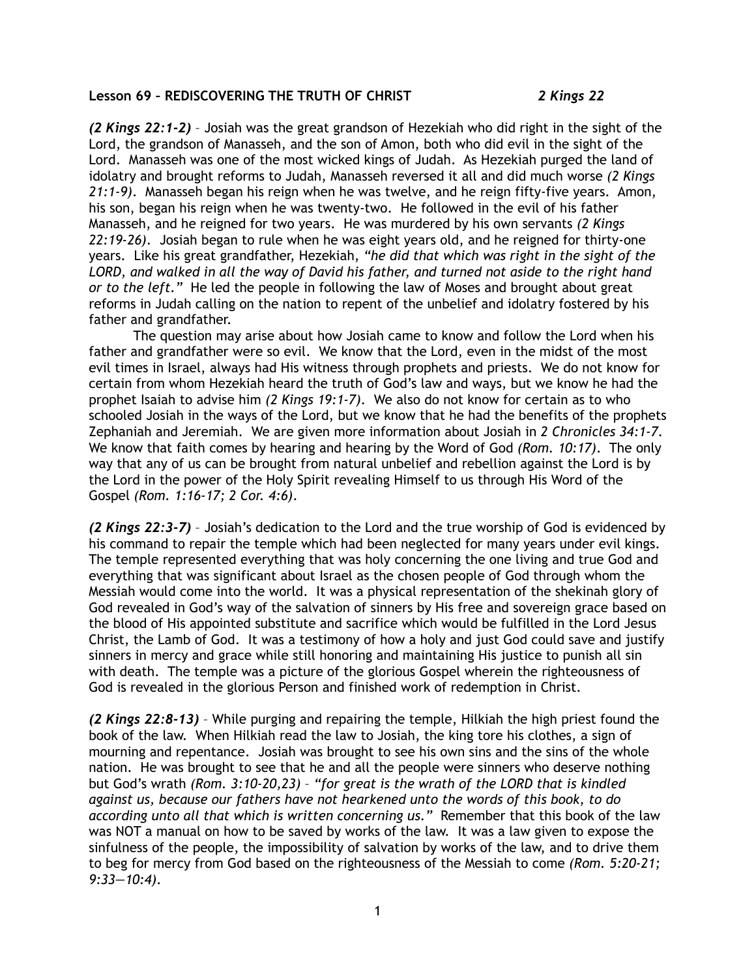## **Lesson 69 – REDISCOVERING THE TRUTH OF CHRIST** *2 Kings 22*

*(2 Kings 22:1-2)* – Josiah was the great grandson of Hezekiah who did right in the sight of the Lord, the grandson of Manasseh, and the son of Amon, both who did evil in the sight of the Lord. Manasseh was one of the most wicked kings of Judah. As Hezekiah purged the land of idolatry and brought reforms to Judah, Manasseh reversed it all and did much worse *(2 Kings 21:1-9)*. Manasseh began his reign when he was twelve, and he reign fifty-five years. Amon, his son, began his reign when he was twenty-two. He followed in the evil of his father Manasseh, and he reigned for two years. He was murdered by his own servants *(2 Kings 22:19-26)*. Josiah began to rule when he was eight years old, and he reigned for thirty-one years. Like his great grandfather, Hezekiah, *"he did that which was right in the sight of the LORD, and walked in all the way of David his father, and turned not aside to the right hand or to the left."* He led the people in following the law of Moses and brought about great reforms in Judah calling on the nation to repent of the unbelief and idolatry fostered by his father and grandfather.

The question may arise about how Josiah came to know and follow the Lord when his father and grandfather were so evil. We know that the Lord, even in the midst of the most evil times in Israel, always had His witness through prophets and priests. We do not know for certain from whom Hezekiah heard the truth of God's law and ways, but we know he had the prophet Isaiah to advise him *(2 Kings 19:1-7)*. We also do not know for certain as to who schooled Josiah in the ways of the Lord, but we know that he had the benefits of the prophets Zephaniah and Jeremiah. We are given more information about Josiah in *2 Chronicles 34:1-7*. We know that faith comes by hearing and hearing by the Word of God *(Rom. 10:17)*. The only way that any of us can be brought from natural unbelief and rebellion against the Lord is by the Lord in the power of the Holy Spirit revealing Himself to us through His Word of the Gospel *(Rom. 1:16-17; 2 Cor. 4:6)*.

*(2 Kings 22:3-7)* – Josiah's dedication to the Lord and the true worship of God is evidenced by his command to repair the temple which had been neglected for many years under evil kings. The temple represented everything that was holy concerning the one living and true God and everything that was significant about Israel as the chosen people of God through whom the Messiah would come into the world. It was a physical representation of the shekinah glory of God revealed in God's way of the salvation of sinners by His free and sovereign grace based on the blood of His appointed substitute and sacrifice which would be fulfilled in the Lord Jesus Christ, the Lamb of God. It was a testimony of how a holy and just God could save and justify sinners in mercy and grace while still honoring and maintaining His justice to punish all sin with death. The temple was a picture of the glorious Gospel wherein the righteousness of God is revealed in the glorious Person and finished work of redemption in Christ.

*(2 Kings 22:8-13)* – While purging and repairing the temple, Hilkiah the high priest found the book of the law. When Hilkiah read the law to Josiah, the king tore his clothes, a sign of mourning and repentance. Josiah was brought to see his own sins and the sins of the whole nation. He was brought to see that he and all the people were sinners who deserve nothing but God's wrath *(Rom. 3:10-20,23)* – *"for great is the wrath of the LORD that is kindled against us, because our fathers have not hearkened unto the words of this book, to do according unto all that which is written concerning us."* Remember that this book of the law was NOT a manual on how to be saved by works of the law. It was a law given to expose the sinfulness of the people, the impossibility of salvation by works of the law, and to drive them to beg for mercy from God based on the righteousness of the Messiah to come *(Rom. 5:20-21; 9:33—10:4)*.